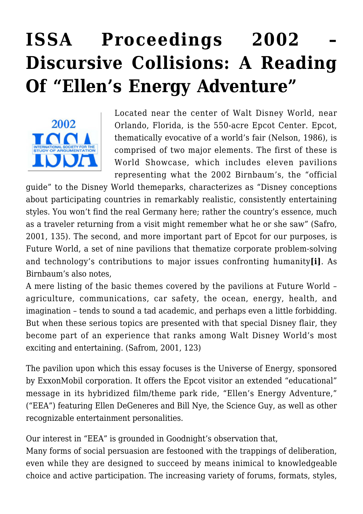## **[ISSA Proceedings 2002 –](https://rozenbergquarterly.com/issa-proceedings-2002-discursive-collisions-a-reading-of-ellens-energy-adventure/) [Discursive Collisions: A Reading](https://rozenbergquarterly.com/issa-proceedings-2002-discursive-collisions-a-reading-of-ellens-energy-adventure/) [Of "Ellen's Energy Adventure"](https://rozenbergquarterly.com/issa-proceedings-2002-discursive-collisions-a-reading-of-ellens-energy-adventure/)**



Located near the center of Walt Disney World, near Orlando, Florida, is the 550-acre Epcot Center. Epcot, thematically evocative of a world's fair (Nelson, 1986), is comprised of two major elements. The first of these is World Showcase, which includes eleven pavilions representing what the 2002 Birnbaum's, the "official

guide" to the Disney World themeparks, characterizes as "Disney conceptions about participating countries in remarkably realistic, consistently entertaining styles. You won't find the real Germany here; rather the country's essence, much as a traveler returning from a visit might remember what he or she saw" (Safro, 2001, 135). The second, and more important part of Epcot for our purposes, is Future World, a set of nine pavilions that thematize corporate problem-solving and technology's contributions to major issues confronting humanity**[i]**. As Birnbaum's also notes,

A mere listing of the basic themes covered by the pavilions at Future World – agriculture, communications, car safety, the ocean, energy, health, and imagination – tends to sound a tad academic, and perhaps even a little forbidding. But when these serious topics are presented with that special Disney flair, they become part of an experience that ranks among Walt Disney World's most exciting and entertaining. (Safrom, 2001, 123)

The pavilion upon which this essay focuses is the Universe of Energy, sponsored by ExxonMobil corporation. It offers the Epcot visitor an extended "educational" message in its hybridized film/theme park ride, "Ellen's Energy Adventure," ("EEA") featuring Ellen DeGeneres and Bill Nye, the Science Guy, as well as other recognizable entertainment personalities.

Our interest in "EEA" is grounded in Goodnight's observation that,

Many forms of social persuasion are festooned with the trappings of deliberation, even while they are designed to succeed by means inimical to knowledgeable choice and active participation. The increasing variety of forums, formats, styles,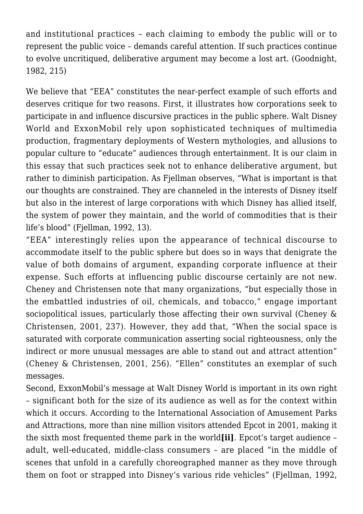and institutional practices – each claiming to embody the public will or to represent the public voice – demands careful attention. If such practices continue to evolve uncritiqued, deliberative argument may become a lost art. (Goodnight, 1982, 215)

We believe that "EEA" constitutes the near-perfect example of such efforts and deserves critique for two reasons. First, it illustrates how corporations seek to participate in and influence discursive practices in the public sphere. Walt Disney World and ExxonMobil rely upon sophisticated techniques of multimedia production, fragmentary deployments of Western mythologies, and allusions to popular culture to "educate" audiences through entertainment. It is our claim in this essay that such practices seek not to enhance deliberative argument, but rather to diminish participation. As Fjellman observes, "What is important is that our thoughts are constrained. They are channeled in the interests of Disney itself but also in the interest of large corporations with which Disney has allied itself, the system of power they maintain, and the world of commodities that is their life's blood" (Fiellman, 1992, 13).

"EEA" interestingly relies upon the appearance of technical discourse to accommodate itself to the public sphere but does so in ways that denigrate the value of both domains of argument, expanding corporate influence at their expense. Such efforts at influencing public discourse certainly are not new. Cheney and Christensen note that many organizations, "but especially those in the embattled industries of oil, chemicals, and tobacco," engage important sociopolitical issues, particularly those affecting their own survival (Cheney & Christensen, 2001, 237). However, they add that, "When the social space is saturated with corporate communication asserting social righteousness, only the indirect or more unusual messages are able to stand out and attract attention" (Cheney & Christensen, 2001, 256). "Ellen" constitutes an exemplar of such messages.

Second, ExxonMobil's message at Walt Disney World is important in its own right – significant both for the size of its audience as well as for the context within which it occurs. According to the International Association of Amusement Parks and Attractions, more than nine million visitors attended Epcot in 2001, making it the sixth most frequented theme park in the world**[ii]**. Epcot's target audience – adult, well-educated, middle-class consumers – are placed "in the middle of scenes that unfold in a carefully choreographed manner as they move through them on foot or strapped into Disney's various ride vehicles" (Fjellman, 1992,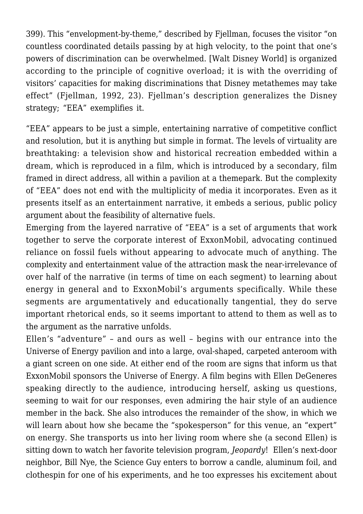399). This "envelopment-by-theme," described by Fjellman, focuses the visitor "on countless coordinated details passing by at high velocity, to the point that one's powers of discrimination can be overwhelmed. [Walt Disney World] is organized according to the principle of cognitive overload; it is with the overriding of visitors' capacities for making discriminations that Disney metathemes may take effect" (Fjellman, 1992, 23). Fjellman's description generalizes the Disney strategy; "EEA" exemplifies it.

"EEA" appears to be just a simple, entertaining narrative of competitive conflict and resolution, but it is anything but simple in format. The levels of virtuality are breathtaking: a television show and historical recreation embedded within a dream, which is reproduced in a film, which is introduced by a secondary, film framed in direct address, all within a pavilion at a themepark. But the complexity of "EEA" does not end with the multiplicity of media it incorporates. Even as it presents itself as an entertainment narrative, it embeds a serious, public policy argument about the feasibility of alternative fuels.

Emerging from the layered narrative of "EEA" is a set of arguments that work together to serve the corporate interest of ExxonMobil, advocating continued reliance on fossil fuels without appearing to advocate much of anything. The complexity and entertainment value of the attraction mask the near-irrelevance of over half of the narrative (in terms of time on each segment) to learning about energy in general and to ExxonMobil's arguments specifically. While these segments are argumentatively and educationally tangential, they do serve important rhetorical ends, so it seems important to attend to them as well as to the argument as the narrative unfolds.

Ellen's "adventure" – and ours as well – begins with our entrance into the Universe of Energy pavilion and into a large, oval-shaped, carpeted anteroom with a giant screen on one side. At either end of the room are signs that inform us that ExxonMobil sponsors the Universe of Energy. A film begins with Ellen DeGeneres speaking directly to the audience, introducing herself, asking us questions, seeming to wait for our responses, even admiring the hair style of an audience member in the back. She also introduces the remainder of the show, in which we will learn about how she became the "spokesperson" for this venue, an "expert" on energy. She transports us into her living room where she (a second Ellen) is sitting down to watch her favorite television program, *Jeopardy*! Ellen's next-door neighbor, Bill Nye, the Science Guy enters to borrow a candle, aluminum foil, and clothespin for one of his experiments, and he too expresses his excitement about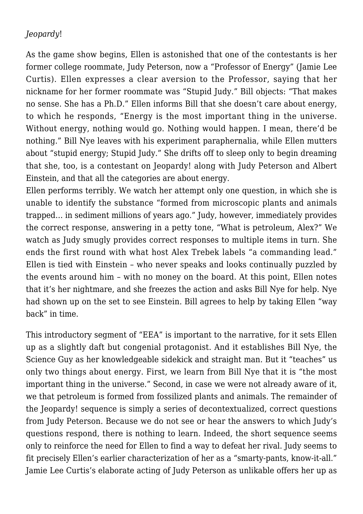## *Jeopardy*!

As the game show begins, Ellen is astonished that one of the contestants is her former college roommate, Judy Peterson, now a "Professor of Energy" (Jamie Lee Curtis). Ellen expresses a clear aversion to the Professor, saying that her nickname for her former roommate was "Stupid Judy." Bill objects: "That makes no sense. She has a Ph.D." Ellen informs Bill that she doesn't care about energy, to which he responds, "Energy is the most important thing in the universe. Without energy, nothing would go. Nothing would happen. I mean, there'd be nothing." Bill Nye leaves with his experiment paraphernalia, while Ellen mutters about "stupid energy; Stupid Judy." She drifts off to sleep only to begin dreaming that she, too, is a contestant on Jeopardy! along with Judy Peterson and Albert Einstein, and that all the categories are about energy.

Ellen performs terribly. We watch her attempt only one question, in which she is unable to identify the substance "formed from microscopic plants and animals trapped… in sediment millions of years ago." Judy, however, immediately provides the correct response, answering in a petty tone, "What is petroleum, Alex?" We watch as Judy smugly provides correct responses to multiple items in turn. She ends the first round with what host Alex Trebek labels "a commanding lead." Ellen is tied with Einstein – who never speaks and looks continually puzzled by the events around him – with no money on the board. At this point, Ellen notes that it's her nightmare, and she freezes the action and asks Bill Nye for help. Nye had shown up on the set to see Einstein. Bill agrees to help by taking Ellen "way back" in time.

This introductory segment of "EEA" is important to the narrative, for it sets Ellen up as a slightly daft but congenial protagonist. And it establishes Bill Nye, the Science Guy as her knowledgeable sidekick and straight man. But it "teaches" us only two things about energy. First, we learn from Bill Nye that it is "the most important thing in the universe." Second, in case we were not already aware of it, we that petroleum is formed from fossilized plants and animals. The remainder of the Jeopardy! sequence is simply a series of decontextualized, correct questions from Judy Peterson. Because we do not see or hear the answers to which Judy's questions respond, there is nothing to learn. Indeed, the short sequence seems only to reinforce the need for Ellen to find a way to defeat her rival. Judy seems to fit precisely Ellen's earlier characterization of her as a "smarty-pants, know-it-all." Jamie Lee Curtis's elaborate acting of Judy Peterson as unlikable offers her up as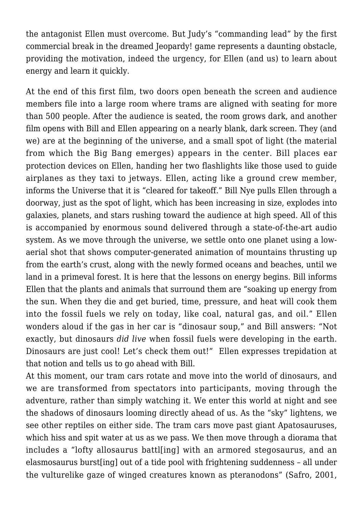the antagonist Ellen must overcome. But Judy's "commanding lead" by the first commercial break in the dreamed Jeopardy! game represents a daunting obstacle, providing the motivation, indeed the urgency, for Ellen (and us) to learn about energy and learn it quickly.

At the end of this first film, two doors open beneath the screen and audience members file into a large room where trams are aligned with seating for more than 500 people. After the audience is seated, the room grows dark, and another film opens with Bill and Ellen appearing on a nearly blank, dark screen. They (and we) are at the beginning of the universe, and a small spot of light (the material from which the Big Bang emerges) appears in the center. Bill places ear protection devices on Ellen, handing her two flashlights like those used to guide airplanes as they taxi to jetways. Ellen, acting like a ground crew member, informs the Universe that it is "cleared for takeoff." Bill Nye pulls Ellen through a doorway, just as the spot of light, which has been increasing in size, explodes into galaxies, planets, and stars rushing toward the audience at high speed. All of this is accompanied by enormous sound delivered through a state-of-the-art audio system. As we move through the universe, we settle onto one planet using a lowaerial shot that shows computer-generated animation of mountains thrusting up from the earth's crust, along with the newly formed oceans and beaches, until we land in a primeval forest. It is here that the lessons on energy begins. Bill informs Ellen that the plants and animals that surround them are "soaking up energy from the sun. When they die and get buried, time, pressure, and heat will cook them into the fossil fuels we rely on today, like coal, natural gas, and oil." Ellen wonders aloud if the gas in her car is "dinosaur soup," and Bill answers: "Not exactly, but dinosaurs *did live* when fossil fuels were developing in the earth. Dinosaurs are just cool! Let's check them out!" Ellen expresses trepidation at that notion and tells us to go ahead with Bill.

At this moment, our tram cars rotate and move into the world of dinosaurs, and we are transformed from spectators into participants, moving through the adventure, rather than simply watching it. We enter this world at night and see the shadows of dinosaurs looming directly ahead of us. As the "sky" lightens, we see other reptiles on either side. The tram cars move past giant Apatosauruses, which hiss and spit water at us as we pass. We then move through a diorama that includes a "lofty allosaurus battl[ing] with an armored stegosaurus, and an elasmosaurus burst[ing] out of a tide pool with frightening suddenness – all under the vulturelike gaze of winged creatures known as pteranodons" (Safro, 2001,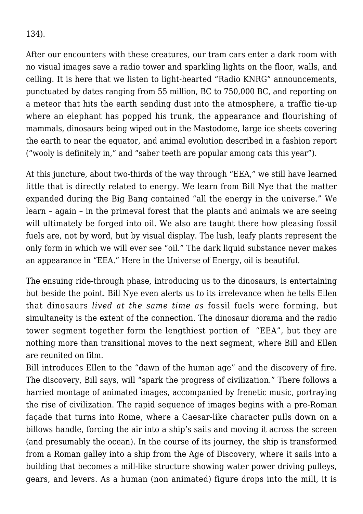134).

After our encounters with these creatures, our tram cars enter a dark room with no visual images save a radio tower and sparkling lights on the floor, walls, and ceiling. It is here that we listen to light-hearted "Radio KNRG" announcements, punctuated by dates ranging from 55 million, BC to 750,000 BC, and reporting on a meteor that hits the earth sending dust into the atmosphere, a traffic tie-up where an elephant has popped his trunk, the appearance and flourishing of mammals, dinosaurs being wiped out in the Mastodome, large ice sheets covering the earth to near the equator, and animal evolution described in a fashion report ("wooly is definitely in," and "saber teeth are popular among cats this year").

At this juncture, about two-thirds of the way through "EEA," we still have learned little that is directly related to energy. We learn from Bill Nye that the matter expanded during the Big Bang contained "all the energy in the universe." We learn – again – in the primeval forest that the plants and animals we are seeing will ultimately be forged into oil. We also are taught there how pleasing fossil fuels are, not by word, but by visual display. The lush, leafy plants represent the only form in which we will ever see "oil." The dark liquid substance never makes an appearance in "EEA." Here in the Universe of Energy, oil is beautiful.

The ensuing ride-through phase, introducing us to the dinosaurs, is entertaining but beside the point. Bill Nye even alerts us to its irrelevance when he tells Ellen that dinosaurs *lived at the same time as* fossil fuels were forming, but simultaneity is the extent of the connection. The dinosaur diorama and the radio tower segment together form the lengthiest portion of "EEA", but they are nothing more than transitional moves to the next segment, where Bill and Ellen are reunited on film.

Bill introduces Ellen to the "dawn of the human age" and the discovery of fire. The discovery, Bill says, will "spark the progress of civilization." There follows a harried montage of animated images, accompanied by frenetic music, portraying the rise of civilization. The rapid sequence of images begins with a pre-Roman façade that turns into Rome, where a Caesar-like character pulls down on a billows handle, forcing the air into a ship's sails and moving it across the screen (and presumably the ocean). In the course of its journey, the ship is transformed from a Roman galley into a ship from the Age of Discovery, where it sails into a building that becomes a mill-like structure showing water power driving pulleys, gears, and levers. As a human (non animated) figure drops into the mill, it is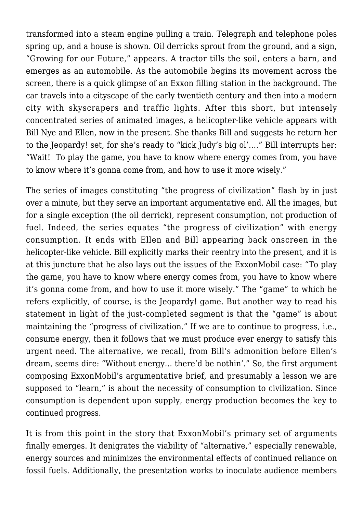transformed into a steam engine pulling a train. Telegraph and telephone poles spring up, and a house is shown. Oil derricks sprout from the ground, and a sign, "Growing for our Future," appears. A tractor tills the soil, enters a barn, and emerges as an automobile. As the automobile begins its movement across the screen, there is a quick glimpse of an Exxon filling station in the background. The car travels into a cityscape of the early twentieth century and then into a modern city with skyscrapers and traffic lights. After this short, but intensely concentrated series of animated images, a helicopter-like vehicle appears with Bill Nye and Ellen, now in the present. She thanks Bill and suggests he return her to the Jeopardy! set, for she's ready to "kick Judy's big ol'…." Bill interrupts her: "Wait! To play the game, you have to know where energy comes from, you have to know where it's gonna come from, and how to use it more wisely."

The series of images constituting "the progress of civilization" flash by in just over a minute, but they serve an important argumentative end. All the images, but for a single exception (the oil derrick), represent consumption, not production of fuel. Indeed, the series equates "the progress of civilization" with energy consumption. It ends with Ellen and Bill appearing back onscreen in the helicopter-like vehicle. Bill explicitly marks their reentry into the present, and it is at this juncture that he also lays out the issues of the ExxonMobil case: "To play the game, you have to know where energy comes from, you have to know where it's gonna come from, and how to use it more wisely." The "game" to which he refers explicitly, of course, is the Jeopardy! game. But another way to read his statement in light of the just-completed segment is that the "game" is about maintaining the "progress of civilization." If we are to continue to progress, i.e., consume energy, then it follows that we must produce ever energy to satisfy this urgent need. The alternative, we recall, from Bill's admonition before Ellen's dream, seems dire: "Without energy… there'd be nothin'." So, the first argument composing ExxonMobil's argumentative brief, and presumably a lesson we are supposed to "learn," is about the necessity of consumption to civilization. Since consumption is dependent upon supply, energy production becomes the key to continued progress.

It is from this point in the story that ExxonMobil's primary set of arguments finally emerges. It denigrates the viability of "alternative," especially renewable, energy sources and minimizes the environmental effects of continued reliance on fossil fuels. Additionally, the presentation works to inoculate audience members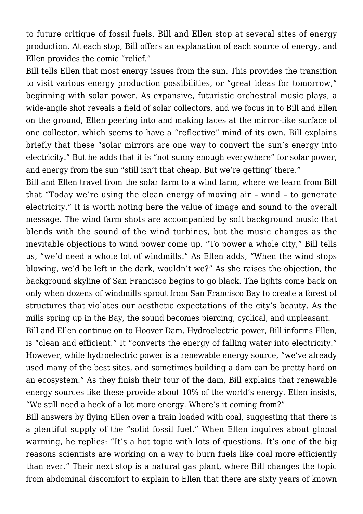to future critique of fossil fuels. Bill and Ellen stop at several sites of energy production. At each stop, Bill offers an explanation of each source of energy, and Ellen provides the comic "relief."

Bill tells Ellen that most energy issues from the sun. This provides the transition to visit various energy production possibilities, or "great ideas for tomorrow," beginning with solar power. As expansive, futuristic orchestral music plays, a wide-angle shot reveals a field of solar collectors, and we focus in to Bill and Ellen on the ground, Ellen peering into and making faces at the mirror-like surface of one collector, which seems to have a "reflective" mind of its own. Bill explains briefly that these "solar mirrors are one way to convert the sun's energy into electricity." But he adds that it is "not sunny enough everywhere" for solar power, and energy from the sun "still isn't that cheap. But we're getting' there."

Bill and Ellen travel from the solar farm to a wind farm, where we learn from Bill that "Today we're using the clean energy of moving air – wind – to generate electricity." It is worth noting here the value of image and sound to the overall message. The wind farm shots are accompanied by soft background music that blends with the sound of the wind turbines, but the music changes as the inevitable objections to wind power come up. "To power a whole city," Bill tells us, "we'd need a whole lot of windmills." As Ellen adds, "When the wind stops blowing, we'd be left in the dark, wouldn't we?" As she raises the objection, the background skyline of San Francisco begins to go black. The lights come back on only when dozens of windmills sprout from San Francisco Bay to create a forest of structures that violates our aesthetic expectations of the city's beauty. As the mills spring up in the Bay, the sound becomes piercing, cyclical, and unpleasant.

Bill and Ellen continue on to Hoover Dam. Hydroelectric power, Bill informs Ellen, is "clean and efficient." It "converts the energy of falling water into electricity." However, while hydroelectric power is a renewable energy source, "we've already used many of the best sites, and sometimes building a dam can be pretty hard on an ecosystem." As they finish their tour of the dam, Bill explains that renewable energy sources like these provide about 10% of the world's energy. Ellen insists, "We still need a heck of a lot more energy. Where's it coming from?"

Bill answers by flying Ellen over a train loaded with coal, suggesting that there is a plentiful supply of the "solid fossil fuel." When Ellen inquires about global warming, he replies: "It's a hot topic with lots of questions. It's one of the big reasons scientists are working on a way to burn fuels like coal more efficiently than ever." Their next stop is a natural gas plant, where Bill changes the topic from abdominal discomfort to explain to Ellen that there are sixty years of known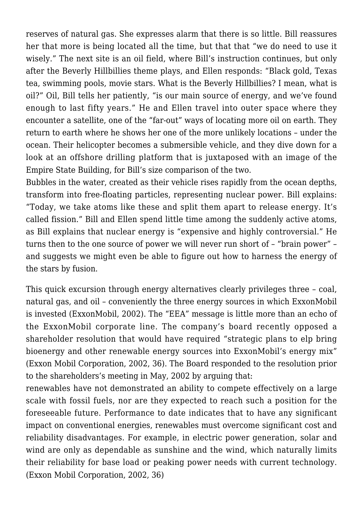reserves of natural gas. She expresses alarm that there is so little. Bill reassures her that more is being located all the time, but that that "we do need to use it wisely." The next site is an oil field, where Bill's instruction continues, but only after the Beverly Hillbillies theme plays, and Ellen responds: "Black gold, Texas tea, swimming pools, movie stars. What is the Beverly Hillbillies? I mean, what is oil?" Oil, Bill tells her patiently, "is our main source of energy, and we've found enough to last fifty years." He and Ellen travel into outer space where they encounter a satellite, one of the "far-out" ways of locating more oil on earth. They return to earth where he shows her one of the more unlikely locations – under the ocean. Their helicopter becomes a submersible vehicle, and they dive down for a look at an offshore drilling platform that is juxtaposed with an image of the Empire State Building, for Bill's size comparison of the two.

Bubbles in the water, created as their vehicle rises rapidly from the ocean depths, transform into free-floating particles, representing nuclear power. Bill explains: "Today, we take atoms like these and split them apart to release energy. It's called fission." Bill and Ellen spend little time among the suddenly active atoms, as Bill explains that nuclear energy is "expensive and highly controversial." He turns then to the one source of power we will never run short of – "brain power" – and suggests we might even be able to figure out how to harness the energy of the stars by fusion.

This quick excursion through energy alternatives clearly privileges three – coal, natural gas, and oil – conveniently the three energy sources in which ExxonMobil is invested (ExxonMobil, 2002). The "EEA" message is little more than an echo of the ExxonMobil corporate line. The company's board recently opposed a shareholder resolution that would have required "strategic plans to elp bring bioenergy and other renewable energy sources into ExxonMobil's energy mix" (Exxon Mobil Corporation, 2002, 36). The Board responded to the resolution prior to the shareholders's meeting in May, 2002 by arguing that:

renewables have not demonstrated an ability to compete effectively on a large scale with fossil fuels, nor are they expected to reach such a position for the foreseeable future. Performance to date indicates that to have any significant impact on conventional energies, renewables must overcome significant cost and reliability disadvantages. For example, in electric power generation, solar and wind are only as dependable as sunshine and the wind, which naturally limits their reliability for base load or peaking power needs with current technology. (Exxon Mobil Corporation, 2002, 36)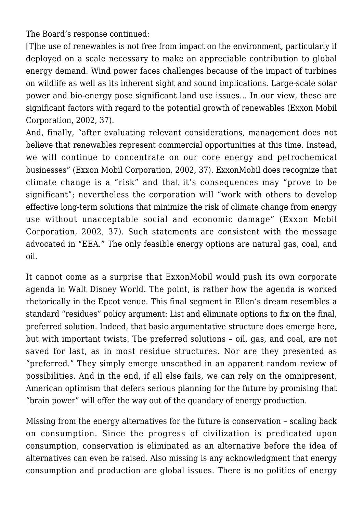The Board's response continued:

[T]he use of renewables is not free from impact on the environment, particularly if deployed on a scale necessary to make an appreciable contribution to global energy demand. Wind power faces challenges because of the impact of turbines on wildlife as well as its inherent sight and sound implications. Large-scale solar power and bio-energy pose significant land use issues… In our view, these are significant factors with regard to the potential growth of renewables (Exxon Mobil Corporation, 2002, 37).

And, finally, "after evaluating relevant considerations, management does not believe that renewables represent commercial opportunities at this time. Instead, we will continue to concentrate on our core energy and petrochemical businesses" (Exxon Mobil Corporation, 2002, 37). ExxonMobil does recognize that climate change is a "risk" and that it's consequences may "prove to be significant"; nevertheless the corporation will "work with others to develop effective long-term solutions that minimize the risk of climate change from energy use without unacceptable social and economic damage" (Exxon Mobil Corporation, 2002, 37). Such statements are consistent with the message advocated in "EEA." The only feasible energy options are natural gas, coal, and oil.

It cannot come as a surprise that ExxonMobil would push its own corporate agenda in Walt Disney World. The point, is rather how the agenda is worked rhetorically in the Epcot venue. This final segment in Ellen's dream resembles a standard "residues" policy argument: List and eliminate options to fix on the final, preferred solution. Indeed, that basic argumentative structure does emerge here, but with important twists. The preferred solutions – oil, gas, and coal, are not saved for last, as in most residue structures. Nor are they presented as "preferred." They simply emerge unscathed in an apparent random review of possibilities. And in the end, if all else fails, we can rely on the omnipresent, American optimism that defers serious planning for the future by promising that "brain power" will offer the way out of the quandary of energy production.

Missing from the energy alternatives for the future is conservation – scaling back on consumption. Since the progress of civilization is predicated upon consumption, conservation is eliminated as an alternative before the idea of alternatives can even be raised. Also missing is any acknowledgment that energy consumption and production are global issues. There is no politics of energy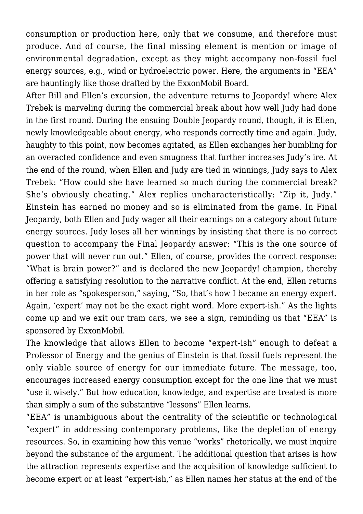consumption or production here, only that we consume, and therefore must produce. And of course, the final missing element is mention or image of environmental degradation, except as they might accompany non-fossil fuel energy sources, e.g., wind or hydroelectric power. Here, the arguments in "EEA" are hauntingly like those drafted by the ExxonMobil Board.

After Bill and Ellen's excursion, the adventure returns to Jeopardy! where Alex Trebek is marveling during the commercial break about how well Judy had done in the first round. During the ensuing Double Jeopardy round, though, it is Ellen, newly knowledgeable about energy, who responds correctly time and again. Judy, haughty to this point, now becomes agitated, as Ellen exchanges her bumbling for an overacted confidence and even smugness that further increases Judy's ire. At the end of the round, when Ellen and Judy are tied in winnings, Judy says to Alex Trebek: "How could she have learned so much during the commercial break? She's obviously cheating." Alex replies uncharacteristically: "Zip it, Judy." Einstein has earned no money and so is eliminated from the game. In Final Jeopardy, both Ellen and Judy wager all their earnings on a category about future energy sources. Judy loses all her winnings by insisting that there is no correct question to accompany the Final Jeopardy answer: "This is the one source of power that will never run out." Ellen, of course, provides the correct response: "What is brain power?" and is declared the new Jeopardy! champion, thereby offering a satisfying resolution to the narrative conflict. At the end, Ellen returns in her role as "spokesperson," saying, "So, that's how I became an energy expert. Again, 'expert' may not be the exact right word. More expert-ish." As the lights come up and we exit our tram cars, we see a sign, reminding us that "EEA" is sponsored by ExxonMobil.

The knowledge that allows Ellen to become "expert-ish" enough to defeat a Professor of Energy and the genius of Einstein is that fossil fuels represent the only viable source of energy for our immediate future. The message, too, encourages increased energy consumption except for the one line that we must "use it wisely." But how education, knowledge, and expertise are treated is more than simply a sum of the substantive "lessons" Ellen learns.

"EEA" is unambiguous about the centrality of the scientific or technological "expert" in addressing contemporary problems, like the depletion of energy resources. So, in examining how this venue "works" rhetorically, we must inquire beyond the substance of the argument. The additional question that arises is how the attraction represents expertise and the acquisition of knowledge sufficient to become expert or at least "expert-ish," as Ellen names her status at the end of the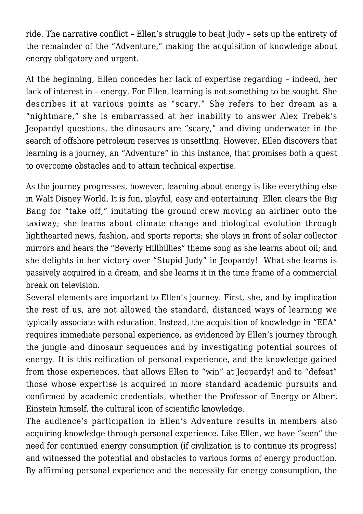ride. The narrative conflict – Ellen's struggle to beat Judy – sets up the entirety of the remainder of the "Adventure," making the acquisition of knowledge about energy obligatory and urgent.

At the beginning, Ellen concedes her lack of expertise regarding – indeed, her lack of interest in – energy. For Ellen, learning is not something to be sought. She describes it at various points as "scary." She refers to her dream as a "nightmare," she is embarrassed at her inability to answer Alex Trebek's Jeopardy! questions, the dinosaurs are "scary," and diving underwater in the search of offshore petroleum reserves is unsettling. However, Ellen discovers that learning is a journey, an "Adventure" in this instance, that promises both a quest to overcome obstacles and to attain technical expertise.

As the journey progresses, however, learning about energy is like everything else in Walt Disney World. It is fun, playful, easy and entertaining. Ellen clears the Big Bang for "take off," imitating the ground crew moving an airliner onto the taxiway; she learns about climate change and biological evolution through lighthearted news, fashion, and sports reports; she plays in front of solar collector mirrors and hears the "Beverly Hillbillies" theme song as she learns about oil; and she delights in her victory over "Stupid Judy" in Jeopardy! What she learns is passively acquired in a dream, and she learns it in the time frame of a commercial break on television.

Several elements are important to Ellen's journey. First, she, and by implication the rest of us, are not allowed the standard, distanced ways of learning we typically associate with education. Instead, the acquisition of knowledge in "EEA" requires immediate personal experience, as evidenced by Ellen's journey through the jungle and dinosaur sequences and by investigating potential sources of energy. It is this reification of personal experience, and the knowledge gained from those experiences, that allows Ellen to "win" at Jeopardy! and to "defeat" those whose expertise is acquired in more standard academic pursuits and confirmed by academic credentials, whether the Professor of Energy or Albert Einstein himself, the cultural icon of scientific knowledge.

The audience's participation in Ellen's Adventure results in members also acquiring knowledge through personal experience. Like Ellen, we have "seen" the need for continued energy consumption (if civilization is to continue its progress) and witnessed the potential and obstacles to various forms of energy production. By affirming personal experience and the necessity for energy consumption, the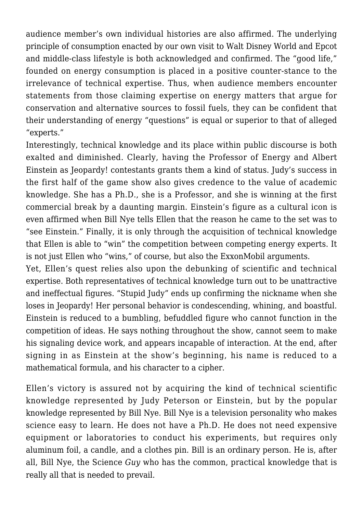audience member's own individual histories are also affirmed. The underlying principle of consumption enacted by our own visit to Walt Disney World and Epcot and middle-class lifestyle is both acknowledged and confirmed. The "good life," founded on energy consumption is placed in a positive counter-stance to the irrelevance of technical expertise. Thus, when audience members encounter statements from those claiming expertise on energy matters that argue for conservation and alternative sources to fossil fuels, they can be confident that their understanding of energy "questions" is equal or superior to that of alleged "experts."

Interestingly, technical knowledge and its place within public discourse is both exalted and diminished. Clearly, having the Professor of Energy and Albert Einstein as Jeopardy! contestants grants them a kind of status. Judy's success in the first half of the game show also gives credence to the value of academic knowledge. She has a Ph.D., she is a Professor, and she is winning at the first commercial break by a daunting margin. Einstein's figure as a cultural icon is even affirmed when Bill Nye tells Ellen that the reason he came to the set was to "see Einstein." Finally, it is only through the acquisition of technical knowledge that Ellen is able to "win" the competition between competing energy experts. It is not just Ellen who "wins," of course, but also the ExxonMobil arguments.

Yet, Ellen's quest relies also upon the debunking of scientific and technical expertise. Both representatives of technical knowledge turn out to be unattractive and ineffectual figures. "Stupid Judy" ends up confirming the nickname when she loses in Jeopardy! Her personal behavior is condescending, whining, and boastful. Einstein is reduced to a bumbling, befuddled figure who cannot function in the competition of ideas. He says nothing throughout the show, cannot seem to make his signaling device work, and appears incapable of interaction. At the end, after signing in as Einstein at the show's beginning, his name is reduced to a mathematical formula, and his character to a cipher.

Ellen's victory is assured not by acquiring the kind of technical scientific knowledge represented by Judy Peterson or Einstein, but by the popular knowledge represented by Bill Nye. Bill Nye is a television personality who makes science easy to learn. He does not have a Ph.D. He does not need expensive equipment or laboratories to conduct his experiments, but requires only aluminum foil, a candle, and a clothes pin. Bill is an ordinary person. He is, after all, Bill Nye, the Science *Guy* who has the common, practical knowledge that is really all that is needed to prevail.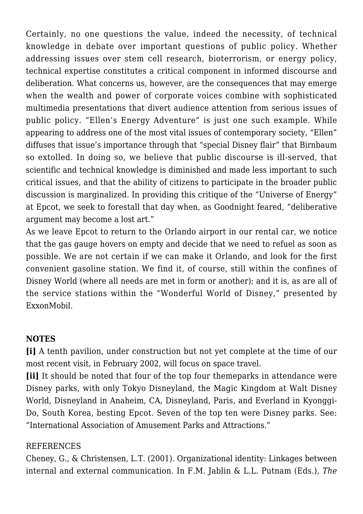Certainly, no one questions the value, indeed the necessity, of technical knowledge in debate over important questions of public policy. Whether addressing issues over stem cell research, bioterrorism, or energy policy, technical expertise constitutes a critical component in informed discourse and deliberation. What concerns us, however, are the consequences that may emerge when the wealth and power of corporate voices combine with sophisticated multimedia presentations that divert audience attention from serious issues of public policy. "Ellen's Energy Adventure" is just one such example. While appearing to address one of the most vital issues of contemporary society, "Ellen" diffuses that issue's importance through that "special Disney flair" that Birnbaum so extolled. In doing so, we believe that public discourse is ill-served, that scientific and technical knowledge is diminished and made less important to such critical issues, and that the ability of citizens to participate in the broader public discussion is marginalized. In providing this critique of the "Universe of Energy" at Epcot, we seek to forestall that day when, as Goodnight feared, "deliberative argument may become a lost art."

As we leave Epcot to return to the Orlando airport in our rental car, we notice that the gas gauge hovers on empty and decide that we need to refuel as soon as possible. We are not certain if we can make it Orlando, and look for the first convenient gasoline station. We find it, of course, still within the confines of Disney World (where all needs are met in form or another); and it is, as are all of the service stations within the "Wonderful World of Disney," presented by ExxonMobil.

## **NOTES**

**[i]** A tenth pavilion, under construction but not yet complete at the time of our most recent visit, in February 2002, will focus on space travel.

**[ii]** It should be noted that four of the top four themeparks in attendance were Disney parks, with only Tokyo Disneyland, the Magic Kingdom at Walt Disney World, Disneyland in Anaheim, CA, Disneyland, Paris, and Everland in Kyonggi-Do, South Korea, besting Epcot. Seven of the top ten were Disney parks. See: "International Association of Amusement Parks and Attractions."

## REFERENCES

Cheney, G., & Christensen, L.T. (2001). Organizational identity: Linkages between internal and external communication. In F.M. Jablin & L.L. Putnam (Eds.), *The*